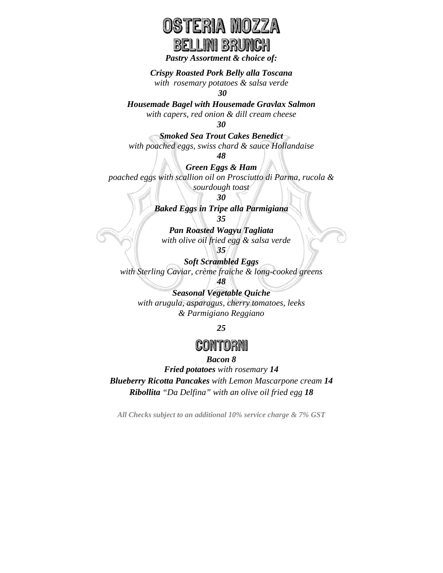## **ERIA WOZZA** BELLINI BRUNCH

*Pastry Assortment & choice of:* 

*Crispy Roasted Pork Belly alla Toscana* 

*with rosemary potatoes & salsa verde* 

*30* 

*Housemade Bagel with Housemade Gravlax Salmon with capers, red onion & dill cream cheese* 

*30* 

*Smoked Sea Trout Cakes Benedict with poached eggs, swiss chard & sauce Hollandaise* 

*48* 

*Green Eggs & Ham poached eggs with scallion oil on Prosciutto di Parma, rucola & sourdough toast* 

*30* 

*Baked Eggs in Tripe alla Parmigiana* 

*35* 

*Pan Roasted Wagyu Tagliata with olive oil fried egg & salsa verde 35* 

*Soft Scrambled Eggs with Sterling Caviar, crème fraiche & long-cooked greens* 

*48 Seasonal Vegetable Quiche with arugula, asparagus, cherry tomatoes, leeks & Parmigiano Reggiano* 

*25* 

### CONTORN

#### *Bacon 8*

*Fried potatoes with rosemary 14* 

*Blueberry Ricotta Pancakes with Lemon Mascarpone cream 14 Ribollita "Da Delfina" with an olive oil fried egg 18* 

*All Checks subject to an additional 10% service charge & 7% GST*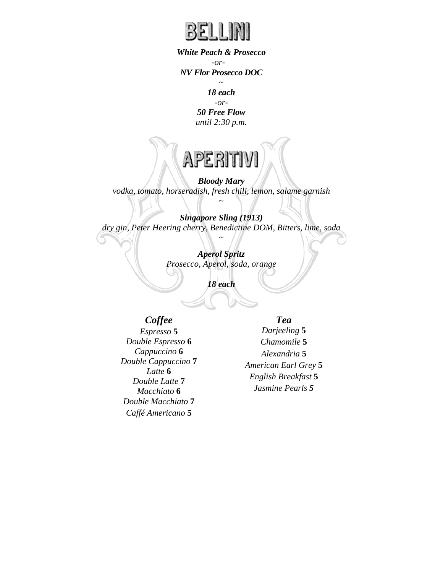

*White Peach & Prosecco -or-NV Flor Prosecco DOC* 

> ~ *18 each*

*-or-50 Free Flow until 2:30 p.m.* 

# APERITI

*Bloody Mary vodka, tomato, horseradish, fresh chili, lemon, salame garnish*  ~

*Singapore Sling (1913) dry gin, Peter Heering cherry, Benedictine DOM, Bitters, lime, soda*  ~

> *Aperol Spritz Prosecco, Aperol, soda, orange*

> > *18 each*

#### *Coffee*

*Espresso* **5** *Double Espresso* **6** *Cappuccino* **6** *Double Cappuccino* **7** *Latte* **6** *Double Latte* **7** *Macchiato* **6** *Double Macchiato* **7** *Caffé Americano* **5**

#### *Tea*

*Darjeeling* **5** *Chamomile* **5** *Alexandria* **5** *American Earl Grey* **5** *English Breakfast* **5** *Jasmine Pearls 5*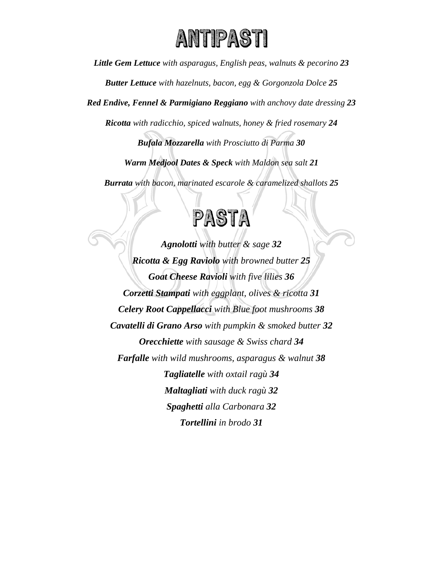

*Little Gem Lettuce with asparagus, English peas, walnuts & pecorino 23* 

*Butter Lettuce with hazelnuts, bacon, egg & Gorgonzola Dolce 25* 

*Red Endive, Fennel & Parmigiano Reggiano with anchovy date dressing 23*

*Ricotta with radicchio, spiced walnuts, honey & fried rosemary 24* 

*Bufala Mozzarella with Prosciutto di Parma 30* 

*Warm Medjool Dates & Speck with Maldon sea salt 21* 

*Burrata with bacon, marinated escarole & caramelized shallots 25* 



*Agnolotti with butter & sage 32 Ricotta & Egg Raviolo with browned butter 25 Goat Cheese Ravioli with five lilies 36 Corzetti Stampati with eggplant, olives & ricotta 31 Celery Root Cappellacci with Blue foot mushrooms 38 Cavatelli di Grano Arso with pumpkin & smoked butter 32 Orecchiette with sausage & Swiss chard 34 Farfalle with wild mushrooms, asparagus & walnut 38 Tagliatelle with oxtail ragù 34 Maltagliati with duck ragù 32 Spaghetti alla Carbonara 32 Tortellini in brodo 31*